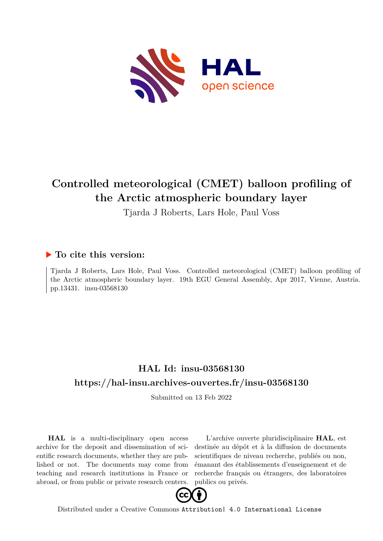

## **Controlled meteorological (CMET) balloon profiling of the Arctic atmospheric boundary layer**

Tjarda J Roberts, Lars Hole, Paul Voss

## **To cite this version:**

Tjarda J Roberts, Lars Hole, Paul Voss. Controlled meteorological (CMET) balloon profiling of the Arctic atmospheric boundary layer. 19th EGU General Assembly, Apr 2017, Vienne, Austria. pp.13431. insu-03568130

## **HAL Id: insu-03568130 <https://hal-insu.archives-ouvertes.fr/insu-03568130>**

Submitted on 13 Feb 2022

**HAL** is a multi-disciplinary open access archive for the deposit and dissemination of scientific research documents, whether they are published or not. The documents may come from teaching and research institutions in France or abroad, or from public or private research centers.

L'archive ouverte pluridisciplinaire **HAL**, est destinée au dépôt et à la diffusion de documents scientifiques de niveau recherche, publiés ou non, émanant des établissements d'enseignement et de recherche français ou étrangers, des laboratoires publics ou privés.



Distributed under a Creative Commons [Attribution| 4.0 International License](http://creativecommons.org/licenses/by/4.0/)